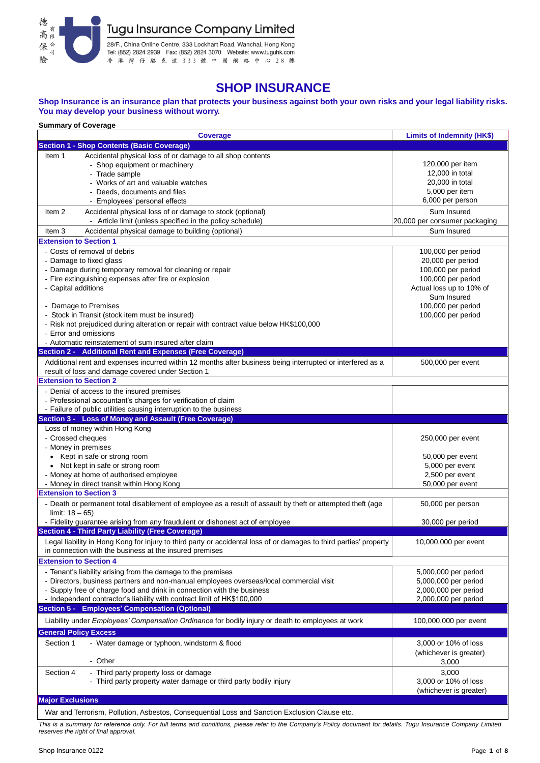

# **SHOP INSURANCE**

#### **Shop Insurance is an insurance plan that protects your business against both your own risks and your legal liability risks. You may develop your business without worry.**

| <b>Summary of Coverage</b>                                                                                               |                               |  |  |  |  |  |  |
|--------------------------------------------------------------------------------------------------------------------------|-------------------------------|--|--|--|--|--|--|
| <b>Coverage</b>                                                                                                          | Limits of Indemnity (HK\$)    |  |  |  |  |  |  |
| <b>Section 1 - Shop Contents (Basic Coverage)</b>                                                                        |                               |  |  |  |  |  |  |
| Accidental physical loss of or damage to all shop contents<br>Item 1                                                     |                               |  |  |  |  |  |  |
| - Shop equipment or machinery                                                                                            | 120,000 per item              |  |  |  |  |  |  |
| - Trade sample                                                                                                           | 12,000 in total               |  |  |  |  |  |  |
| - Works of art and valuable watches                                                                                      | 20,000 in total               |  |  |  |  |  |  |
| Deeds, documents and files                                                                                               | 5,000 per item                |  |  |  |  |  |  |
| - Employees' personal effects                                                                                            | 6,000 per person              |  |  |  |  |  |  |
| Accidental physical loss of or damage to stock (optional)<br>Item 2                                                      | Sum Insured                   |  |  |  |  |  |  |
| - Article limit (unless specified in the policy schedule)                                                                | 20,000 per consumer packaging |  |  |  |  |  |  |
| Accidental physical damage to building (optional)<br>Item 3                                                              | Sum Insured                   |  |  |  |  |  |  |
| <b>Extension to Section 1</b>                                                                                            |                               |  |  |  |  |  |  |
| - Costs of removal of debris                                                                                             | 100,000 per period            |  |  |  |  |  |  |
| - Damage to fixed glass                                                                                                  | 20,000 per period             |  |  |  |  |  |  |
| - Damage during temporary removal for cleaning or repair                                                                 | 100,000 per period            |  |  |  |  |  |  |
| - Fire extinguishing expenses after fire or explosion                                                                    | 100,000 per period            |  |  |  |  |  |  |
| - Capital additions                                                                                                      | Actual loss up to 10% of      |  |  |  |  |  |  |
|                                                                                                                          | Sum Insured                   |  |  |  |  |  |  |
| - Damage to Premises                                                                                                     | 100,000 per period            |  |  |  |  |  |  |
| - Stock in Transit (stock item must be insured)                                                                          | 100,000 per period            |  |  |  |  |  |  |
| - Risk not prejudiced during alteration or repair with contract value below HK\$100,000                                  |                               |  |  |  |  |  |  |
| - Error and omissions                                                                                                    |                               |  |  |  |  |  |  |
| - Automatic reinstatement of sum insured after claim                                                                     |                               |  |  |  |  |  |  |
| Section 2 - Additional Rent and Expenses (Free Coverage)                                                                 |                               |  |  |  |  |  |  |
| Additional rent and expenses incurred within 12 months after business being interrupted or interfered as a               | 500,000 per event             |  |  |  |  |  |  |
| result of loss and damage covered under Section 1                                                                        |                               |  |  |  |  |  |  |
| <b>Extension to Section 2</b>                                                                                            |                               |  |  |  |  |  |  |
| - Denial of access to the insured premises                                                                               |                               |  |  |  |  |  |  |
| - Professional accountant's charges for verification of claim                                                            |                               |  |  |  |  |  |  |
| - Failure of public utilities causing interruption to the business                                                       |                               |  |  |  |  |  |  |
| Section 3 - Loss of Money and Assault (Free Coverage)                                                                    |                               |  |  |  |  |  |  |
| Loss of money within Hong Kong                                                                                           |                               |  |  |  |  |  |  |
|                                                                                                                          |                               |  |  |  |  |  |  |
|                                                                                                                          |                               |  |  |  |  |  |  |
| - Crossed cheques                                                                                                        | 250,000 per event             |  |  |  |  |  |  |
| - Money in premises                                                                                                      |                               |  |  |  |  |  |  |
| • Kept in safe or strong room                                                                                            | 50,000 per event              |  |  |  |  |  |  |
| • Not kept in safe or strong room                                                                                        | 5,000 per event               |  |  |  |  |  |  |
| - Money at home of authorised employee                                                                                   | 2,500 per event               |  |  |  |  |  |  |
| - Money in direct transit within Hong Kong<br><b>Extension to Section 3</b>                                              | 50,000 per event              |  |  |  |  |  |  |
|                                                                                                                          |                               |  |  |  |  |  |  |
| - Death or permanent total disablement of employee as a result of assault by theft or attempted theft (age               | 50,000 per person             |  |  |  |  |  |  |
| limit: $18 - 65$ )                                                                                                       |                               |  |  |  |  |  |  |
| - Fidelity guarantee arising from any fraudulent or dishonest act of employee                                            | 30,000 per period             |  |  |  |  |  |  |
| <b>Section 4 - Third Party Liability (Free Coverage)</b>                                                                 |                               |  |  |  |  |  |  |
| Legal liability in Hong Kong for injury to third party or accidental loss of or damages to third parties' property       | 10,000,000 per event          |  |  |  |  |  |  |
| in connection with the business at the insured premises                                                                  |                               |  |  |  |  |  |  |
| <b>Extension to Section 4</b>                                                                                            |                               |  |  |  |  |  |  |
| - Tenant's liability arising from the damage to the premises                                                             | 5,000,000 per period          |  |  |  |  |  |  |
| - Directors, business partners and non-manual employees overseas/local commercial visit                                  | 5,000,000 per period          |  |  |  |  |  |  |
| - Supply free of charge food and drink in connection with the business                                                   | 2,000,000 per period          |  |  |  |  |  |  |
| - Independent contractor's liability with contract limit of HK\$100,000                                                  | 2,000,000 per period          |  |  |  |  |  |  |
| Section 5 - Employees' Compensation (Optional)                                                                           |                               |  |  |  |  |  |  |
| Liability under <i>Employees' Compensation Ordinance</i> for bodily injury or death to employees at work                 | 100,000,000 per event         |  |  |  |  |  |  |
| <b>General Policy Excess</b>                                                                                             |                               |  |  |  |  |  |  |
| Section 1                                                                                                                |                               |  |  |  |  |  |  |
| - Water damage or typhoon, windstorm & flood                                                                             | 3,000 or 10% of loss          |  |  |  |  |  |  |
| - Other                                                                                                                  | (whichever is greater)        |  |  |  |  |  |  |
|                                                                                                                          | 3,000                         |  |  |  |  |  |  |
| Section 4<br>- Third party property loss or damage                                                                       | 3,000                         |  |  |  |  |  |  |
| - Third party property water damage or third party bodily injury                                                         | 3,000 or 10% of loss          |  |  |  |  |  |  |
|                                                                                                                          | (whichever is greater)        |  |  |  |  |  |  |
| <b>Major Exclusions</b><br>War and Terrorism, Pollution, Asbestos, Consequential Loss and Sanction Exclusion Clause etc. |                               |  |  |  |  |  |  |

*This is a summary for reference only. For full terms and conditions, please refer to the Company's Policy document for details. Tugu Insurance Company Limited reserves the right of final approval.*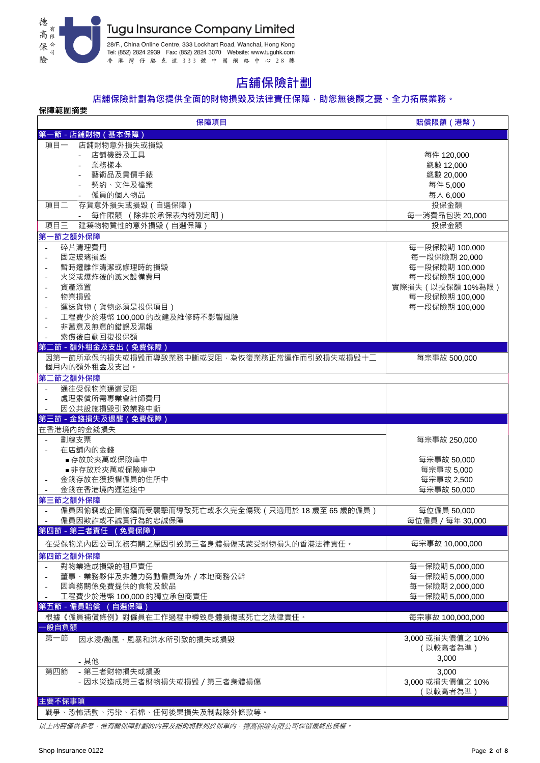

# **店舖保險計劃**

### **店舖保險計劃為您提供全面的財物損毀及法律責任保障,助您無後顧之憂、全力拓展業務。**

| 保障範圍摘要                                         |                  |  |  |  |  |  |
|------------------------------------------------|------------------|--|--|--|--|--|
| 保障項目                                           | 賠償限額 (港幣)        |  |  |  |  |  |
| 第一節 - 店舖財物 (基本保障)                              |                  |  |  |  |  |  |
| 店舖財物意外損失或損毀<br>項目一                             |                  |  |  |  |  |  |
| 店舖機器及工具                                        | 每件 120,000       |  |  |  |  |  |
| 業務樣本                                           | 總數 12,000        |  |  |  |  |  |
| 藝術品及貴價手錶                                       | 總數 20,000        |  |  |  |  |  |
| 契約、文件及檔案                                       | 每件 5,000         |  |  |  |  |  |
| 僱員的個人物品                                        | 每人 6,000         |  |  |  |  |  |
| 項目二<br>存貨意外損失或損毀 (自選保障)                        | 投保金額             |  |  |  |  |  |
| 每件限額 (除非於承保表內特別定明)                             | 每一消費品包裝 20,000   |  |  |  |  |  |
| 項目三<br>建築物物質性的意外損毀 (自選保障)                      | 投保金額             |  |  |  |  |  |
|                                                |                  |  |  |  |  |  |
| 第一節之額外保障                                       |                  |  |  |  |  |  |
| 碎片清理費用<br>$\sim$                               | 每一段保險期 100,000   |  |  |  |  |  |
| 固定玻璃損毀<br>$\overline{\phantom{a}}$             | 每一段保險期 20,000    |  |  |  |  |  |
| 暫時遷離作清潔或修理時的損毀                                 | 每一段保險期 100,000   |  |  |  |  |  |
| 火災或爆炸後的滅火設備費用                                  | 每一段保險期 100,000   |  |  |  |  |  |
| 資產添置                                           | 實際損失(以投保額10%為限)  |  |  |  |  |  |
| 物業損毀                                           | 每一段保險期 100,000   |  |  |  |  |  |
| 運送貨物 (貨物必須是投保項目)                               | 每一段保險期 100,000   |  |  |  |  |  |
| 工程費少於港幣 100,000 的改建及維修時不影響風險                   |                  |  |  |  |  |  |
| 非蓄意及無意的錯誤及漏報<br>$\sim$                         |                  |  |  |  |  |  |
| 索償後自動回復投保額<br>$\overline{\phantom{a}}$         |                  |  |  |  |  |  |
| 第二節 - 額外租金及支出 (免費保障)                           |                  |  |  |  |  |  |
| 因第一節所承保的損失或損毀而導致業務中斷或受阻,為恢復業務正常運作而引致損失或損毀十二    | 每宗事故 500,000     |  |  |  |  |  |
| 個月內的額外租金及支出。                                   |                  |  |  |  |  |  |
| 第二節之額外保障                                       |                  |  |  |  |  |  |
| 通往受保物業通道受阻                                     |                  |  |  |  |  |  |
| 處理索償所需專業會計師費用                                  |                  |  |  |  |  |  |
| 因公共設施損毀引致業務中斷                                  |                  |  |  |  |  |  |
|                                                |                  |  |  |  |  |  |
|                                                |                  |  |  |  |  |  |
| 第三節 - 金錢損失及遇襲 (免費保障)                           |                  |  |  |  |  |  |
| 在香港境内的金錢損失                                     |                  |  |  |  |  |  |
| 劃線支票<br>÷,                                     | 每宗事故 250,000     |  |  |  |  |  |
| 在店舖内的金錢                                        |                  |  |  |  |  |  |
| ■ 存放於夾萬或保險庫中                                   | 每宗事故 50,000      |  |  |  |  |  |
| ■ 非存放於夾萬或保險庫中                                  | 每宗事故 5,000       |  |  |  |  |  |
| 金錢存放在獲授權僱員的住所中                                 | 每宗事故 2,500       |  |  |  |  |  |
| 金錢在香港境內運送途中                                    | 每宗事故 50,000      |  |  |  |  |  |
| 第三節之額外保障                                       |                  |  |  |  |  |  |
| 僱員因偷竊或企圖偷竊而受襲擊而導致死亡或永久完全傷殘(只適用於 18 歲至 65 歲的僱員) | 每位僱員 50,000      |  |  |  |  |  |
| 僱員因欺詐或不誠實行為的忠誠保障                               | 每位僱員 / 每年 30,000 |  |  |  |  |  |
| 第四節 - 第三者責任 (免費保障)                             |                  |  |  |  |  |  |
| 在受保物業內因公司業務有關之原因引致第三者身體損傷或蒙受財物損失的香港法律責任。       | 每宗事故 10,000,000  |  |  |  |  |  |
| 第四節之額外保障                                       |                  |  |  |  |  |  |
| $\sim$                                         |                  |  |  |  |  |  |
| 對物業造成損毀的租戶責任<br>$\sim$                         | 每一保險期 5,000,000  |  |  |  |  |  |
| 董事、業務夥伴及非體力勞動僱員海外 / 本地商務公幹                     | 每一保險期 5,000,000  |  |  |  |  |  |
| 因業務關係免費提供的食物及飲品                                | 每一保險期 2,000,000  |  |  |  |  |  |
| 工程費少於港幣 100,000 的獨立承包商責任                       | 每一保險期 5,000,000  |  |  |  |  |  |
| 第五節 - 僱員賠償 (自選保障)                              |                  |  |  |  |  |  |
| 根據《僱員補償條例》對僱員在工作過程中導致身體損傷或死亡之法律責任。             | 每宗事故 100,000,000 |  |  |  |  |  |
| ·般自負額                                          |                  |  |  |  |  |  |
| 第一節<br>因水浸/颱風、風暴和洪水所引致的損失或損毀                   | 3,000 或損失價值之 10% |  |  |  |  |  |
|                                                | (以較高者為準)         |  |  |  |  |  |
| - 其他                                           | 3,000            |  |  |  |  |  |
| - 第三者財物損失或損毀<br>第四節                            | 3,000            |  |  |  |  |  |
| - 因水災造成第三者財物損失或損毀 / 第三者身體損傷                    | 3,000 或損失價值之 10% |  |  |  |  |  |
|                                                | (以較高者為準)         |  |  |  |  |  |
| 主要不保事項                                         |                  |  |  |  |  |  |

以上內容僅供參考,惟有關保障計劃的內容及細則將詳列於保單內,德高保險有限公司保留最終批核權。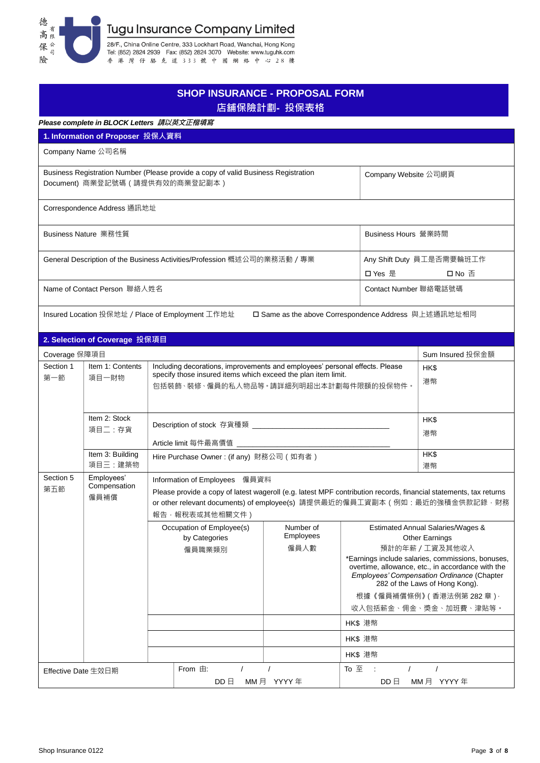

|                                                                          |                                                                                                                                                                                                                    |                   |                                                      | <b>SHOP INSURANCE - PROPOSAL FORM</b><br>店舖保險計劃- 投保表格 |                                                                                                                                                                                                    |                                                                                                                                                                                                                                                                                                                            |  |
|--------------------------------------------------------------------------|--------------------------------------------------------------------------------------------------------------------------------------------------------------------------------------------------------------------|-------------------|------------------------------------------------------|-------------------------------------------------------|----------------------------------------------------------------------------------------------------------------------------------------------------------------------------------------------------|----------------------------------------------------------------------------------------------------------------------------------------------------------------------------------------------------------------------------------------------------------------------------------------------------------------------------|--|
|                                                                          | Please complete in BLOCK Letters 請以英文正楷填寫                                                                                                                                                                          |                   |                                                      |                                                       |                                                                                                                                                                                                    |                                                                                                                                                                                                                                                                                                                            |  |
|                                                                          | 1. Information of Proposer 投保人資料                                                                                                                                                                                   |                   |                                                      |                                                       |                                                                                                                                                                                                    |                                                                                                                                                                                                                                                                                                                            |  |
|                                                                          | Company Name 公司名稱                                                                                                                                                                                                  |                   |                                                      |                                                       |                                                                                                                                                                                                    |                                                                                                                                                                                                                                                                                                                            |  |
|                                                                          | Business Registration Number (Please provide a copy of valid Business Registration<br>Document) 商業登記號碼 ( 請提供有效的商業登記副本 )                                                                                            |                   |                                                      |                                                       | Company Website 公司網頁                                                                                                                                                                               |                                                                                                                                                                                                                                                                                                                            |  |
|                                                                          | Correspondence Address 通訊地址                                                                                                                                                                                        |                   |                                                      |                                                       |                                                                                                                                                                                                    |                                                                                                                                                                                                                                                                                                                            |  |
| Business Nature 業務性質                                                     |                                                                                                                                                                                                                    |                   |                                                      | Business Hours 營業時間                                   |                                                                                                                                                                                                    |                                                                                                                                                                                                                                                                                                                            |  |
| General Description of the Business Activities/Profession 概述公司的業務活動 / 專業 |                                                                                                                                                                                                                    |                   | 口 Yes 是                                              | Any Shift Duty 員工是否需要輪班工作<br>口 No 否                   |                                                                                                                                                                                                    |                                                                                                                                                                                                                                                                                                                            |  |
| Name of Contact Person 聯絡人姓名                                             |                                                                                                                                                                                                                    |                   | Contact Number 聯絡電話號碼                                |                                                       |                                                                                                                                                                                                    |                                                                                                                                                                                                                                                                                                                            |  |
|                                                                          | Insured Location 投保地址 / Place of Employment 工作地址                                                                                                                                                                   |                   |                                                      | □ Same as the above Correspondence Address 與上述通訊地址相同  |                                                                                                                                                                                                    |                                                                                                                                                                                                                                                                                                                            |  |
|                                                                          | 2. Selection of Coverage 投保項目                                                                                                                                                                                      |                   |                                                      |                                                       |                                                                                                                                                                                                    |                                                                                                                                                                                                                                                                                                                            |  |
| Coverage 保障項目                                                            |                                                                                                                                                                                                                    |                   |                                                      |                                                       |                                                                                                                                                                                                    | Sum Insured 投保金額                                                                                                                                                                                                                                                                                                           |  |
| Section 1<br>第一節                                                         | Item 1: Contents<br>Including decorations, improvements and employees' personal effects. Please<br>specify those insured items which exceed the plan item limit.<br>項目一財物<br>包括裝飾、裝修、僱員的私人物品等。請詳細列明超出本計劃每件限額的投保物件。 |                   |                                                      |                                                       |                                                                                                                                                                                                    | HK\$<br>港幣                                                                                                                                                                                                                                                                                                                 |  |
|                                                                          | Item 2: Stock<br>項目二:存貨                                                                                                                                                                                            |                   |                                                      |                                                       | HK\$<br>港幣                                                                                                                                                                                         |                                                                                                                                                                                                                                                                                                                            |  |
|                                                                          | Article limit 每件最高價值 _______________________<br>Item 3: Building<br>Hire Purchase Owner: (if any) 財務公司 (如有者)<br>項目三:建築物                                                                                            |                   |                                                      |                                                       | HK\$<br>港幣                                                                                                                                                                                         |                                                                                                                                                                                                                                                                                                                            |  |
| Section 5<br>第五節                                                         | Employees'<br>Compensation<br>僱員補償                                                                                                                                                                                 |                   | Information of Employees 僱員資料<br>報告 · 報稅表或其他相關文件)    |                                                       | Please provide a copy of latest wageroll (e.g. latest MPF contribution records, financial statements, tax returns<br>or other relevant documents) of employee(s) 請提供最近的僱員工資副本 ( 例如:最近的強積金供款記錄 · 財務 |                                                                                                                                                                                                                                                                                                                            |  |
|                                                                          |                                                                                                                                                                                                                    |                   | Occupation of Employee(s)<br>by Categories<br>僱員職業類別 | Number of<br>Employees<br>僱員人數                        | HK\$ 港幣<br>HK\$ 港幣<br>HK\$ 港幣                                                                                                                                                                      | Estimated Annual Salaries/Wages &<br><b>Other Earnings</b><br>預計的年薪 / 工資及其他收入<br>*Earnings include salaries, commissions, bonuses,<br>overtime, allowance, etc., in accordance with the<br>Employees' Compensation Ordinance (Chapter<br>282 of the Laws of Hong Kong).<br>根據《僱員補償條例》(香港法例第282章)·<br>收入包括薪金、佣金、奬金、加班費、津貼等。 |  |
| Effective Date 生效日期                                                      |                                                                                                                                                                                                                    | From $\boxplus$ : | $\sqrt{ }$<br>$DD \nexists$                          | $\sqrt{2}$<br>MM月 YYYY年                               | To 至<br>$\prime$<br>$\mathcal{L}$<br>$DD \Box$                                                                                                                                                     | $\sqrt{2}$<br>MM月 YYYY年                                                                                                                                                                                                                                                                                                    |  |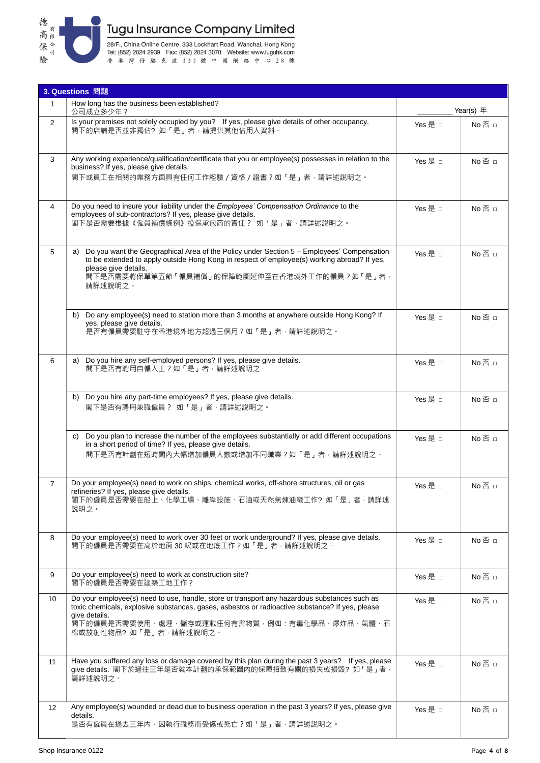

28/F., China Online Centre, 333 Lockhart Road, Wanchai, Hong Kong<br>Tel: (852) 2824 2939 Fax: (852) 2824 3070 Website: www.tuguhk.com<br>香港 灣 仔 駱 克 道 3 3 3 就 中 國 綱 絡 中 心 2 8 樓

|                | 3. Questions 問題                                                                                                                                                                                                                                                                           |         |               |  |  |
|----------------|-------------------------------------------------------------------------------------------------------------------------------------------------------------------------------------------------------------------------------------------------------------------------------------------|---------|---------------|--|--|
| $\mathbf{1}$   | How long has the business been established?<br>公司成立多少年?                                                                                                                                                                                                                                   |         | Year(s) $#$   |  |  |
| 2              | Is your premises not solely occupied by you? If yes, please give details of other occupancy.<br>閣下的店舖是否並非獨佔?如「是」者,請提供其他佔用人資料。                                                                                                                                                             | Yes 是 □ | No否 □         |  |  |
| 3              | Any working experience/qualification/certificate that you or employee(s) possesses in relation to the<br>business? If yes, please give details.<br>閣下或員工在相關的業務方面具有任何工作經驗 / 資格 / 證書 ? 如「是」者·請詳述說明之。                                                                                        | Yes 是 □ | No 否 □        |  |  |
| 4              | Do you need to insure your liability under the Employees' Compensation Ordinance to the<br>employees of sub-contractors? If yes, please give details.<br>閣下是否需要根據《僱員補償條例》投保承包商的責任? 如「是」者,請詳述說明之。                                                                                          | Yes 是 n | $No \n  \Box$ |  |  |
| 5              | Do you want the Geographical Area of the Policy under Section 5 - Employees' Compensation<br>a)<br>to be extended to apply outside Hong Kong in respect of employee(s) working abroad? If yes,<br>please give details.<br>閣下是否需要將保單第五節「僱員補償」的保障範圍延伸至在香港境外工作的僱員?如「是」者,<br>請詳述說明之。          | Yes 是 □ | No否 □         |  |  |
|                | Do any employee(s) need to station more than 3 months at anywhere outside Hong Kong? If<br>b)<br>yes, please give details.<br>是否有僱員需要駐守在香港境外地方超過三個月?如「是」者,請詳述說明之。                                                                                                                         | Yes 是 □ | No 否 □        |  |  |
| 6              | Do you hire any self-employed persons? If yes, please give details.<br>a)<br>閣下是否有聘用自僱人士?如「是」者,請詳述說明之。                                                                                                                                                                                    | Yes 是 □ | No否 □         |  |  |
|                | Do you hire any part-time employees? If yes, please give details.<br>b)<br>閣下是否有聘用兼職僱員? 如「是」者,請詳述說明之。                                                                                                                                                                                     | Yes 是 □ | $No \n  \Box$ |  |  |
|                | Do you plan to increase the number of the employees substantially or add different occupations<br>C)<br>in a short period of time? If yes, please give details.<br>閣下是否有計劃在短時間內大幅增加僱員人數或增加不同職業?如「是」者·請詳述說明之。                                                                              | Yes 是 □ | $No \n  \Box$ |  |  |
| $\overline{7}$ | Do your employee(s) need to work on ships, chemical works, off-shore structures, oil or gas<br>refineries? If yes, please give details.<br>閣下的僱員是否需要在船上、化學工場、離岸設施、石油或天然氣煉油廠工作?如「是」者,請詳述<br>說明之。                                                                                           | Yes 是 □ | No 否 □        |  |  |
| 8              | Do your employee(s) need to work over 30 feet or work underground? If yes, please give details.<br>閣下的僱員是否需要在高於地面 30 呎或在地底工作?如「是」者, 請詳述說明之。                                                                                                                                               | Yes 是 □ | No否 □         |  |  |
| 9              | Do your employee(s) need to work at construction site?<br>閣下的僱員是否需要在建築工地工作?                                                                                                                                                                                                               | Yes 是 □ | $No \n  \Box$ |  |  |
| 10             | Do your employee(s) need to use, handle, store or transport any hazardous substances such as<br>toxic chemicals, explosive substances, gases, asbestos or radioactive substance? If yes, please<br>give details.<br>閣下的僱員是否需要使用、處理、儲存或運載任何有害物質‧例如:有毒化學品、爆炸品、氣體、石<br>棉或放射性物品?如「是」者,請詳述說明之。 | Yes 是 □ | $No \n  \Box$ |  |  |
| 11             | Have you suffered any loss or damage covered by this plan during the past 3 years? If yes, please<br>give details. 閣下於過往三年是否就本計劃的承保範圍內的保障招致有關的損失或損毀? 如「是」者 ·<br>請詳述說明之。                                                                                                                   | Yes 是 □ | $No \n  \Box$ |  |  |
| 12             | Any employee(s) wounded or dead due to business operation in the past 3 years? If yes, please give<br>details.<br>是否有僱員在過去三年內‧因執行職務而受傷或死亡?如「是」者‧請詳述說明之。                                                                                                                                   | Yes 是 □ | $No \n  \Box$ |  |  |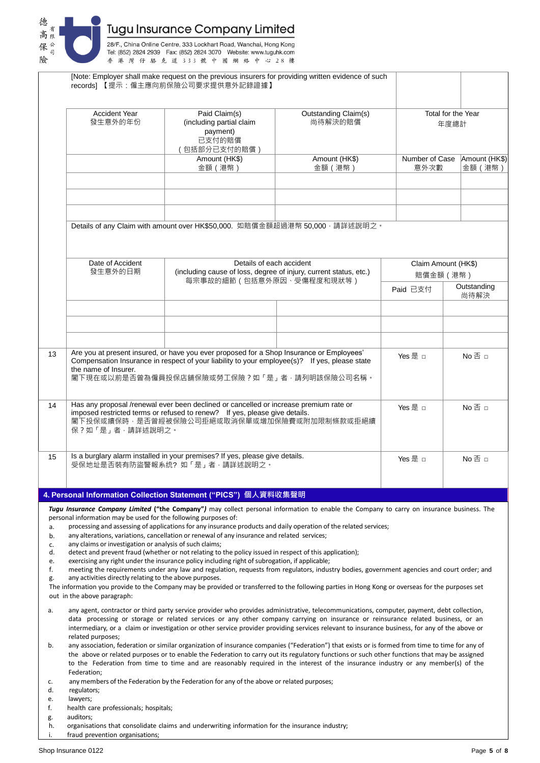

|          |                                                                              | [Note: Employer shall make request on the previous insurers for providing written evidence of such<br>records] 【提示:僱主應向前保險公司要求提供意外記錄證據】                                                                                                                                                                                                                                                                                              |                                 |                     |                            |  |
|----------|------------------------------------------------------------------------------|--------------------------------------------------------------------------------------------------------------------------------------------------------------------------------------------------------------------------------------------------------------------------------------------------------------------------------------------------------------------------------------------------------------------------------------|---------------------------------|---------------------|----------------------------|--|
|          | <b>Accident Year</b><br>發生意外的年份                                              | Paid Claim(s)<br>(including partial claim<br>payment)<br>已支付的賠償<br>包括部分已支付的賠償)                                                                                                                                                                                                                                                                                                                                                       | Outstanding Claim(s)<br>尚待解決的賠償 |                     | Total for the Year<br>年度總計 |  |
|          |                                                                              | Amount (HK\$)                                                                                                                                                                                                                                                                                                                                                                                                                        | Amount (HK\$)                   | Number of Case      | Amount (HK\$)              |  |
|          |                                                                              | 金額 (港幣)                                                                                                                                                                                                                                                                                                                                                                                                                              | 金額 (港幣)                         | 意外次數                | 金額 (港幣)                    |  |
|          |                                                                              |                                                                                                                                                                                                                                                                                                                                                                                                                                      |                                 |                     |                            |  |
|          |                                                                              |                                                                                                                                                                                                                                                                                                                                                                                                                                      |                                 |                     |                            |  |
|          |                                                                              | Details of any Claim with amount over HK\$50,000. 如賠償金額超過港幣 50,000 · 請詳述說明之。                                                                                                                                                                                                                                                                                                                                                         |                                 |                     |                            |  |
|          | Date of Accident                                                             | Details of each accident                                                                                                                                                                                                                                                                                                                                                                                                             |                                 | Claim Amount (HK\$) |                            |  |
|          | 發生意外的日期<br>(including cause of loss, degree of injury, current status, etc.) | 賠償金額 (港幣)                                                                                                                                                                                                                                                                                                                                                                                                                            |                                 |                     |                            |  |
|          |                                                                              | 每宗事故的細節 (包括意外原因、受傷程度和現狀等)                                                                                                                                                                                                                                                                                                                                                                                                            |                                 | Paid 已支付            | Outstanding<br>尚待解決        |  |
|          |                                                                              |                                                                                                                                                                                                                                                                                                                                                                                                                                      |                                 |                     |                            |  |
|          |                                                                              |                                                                                                                                                                                                                                                                                                                                                                                                                                      |                                 |                     |                            |  |
| 13       | the name of Insurer.                                                         | Are you at present insured, or have you ever proposed for a Shop Insurance or Employees'<br>Compensation Insurance in respect of your liability to your employee(s)? If yes, please state<br>閣下現在或以前是否曾為僱員投保店舖保險或勞工保險?如「是」者·請列明該保險公司名稱。                                                                                                                                                                                              |                                 | Yes 是 □             | No否 □                      |  |
| 14       | 保?如「是」者,請詳述說明之。                                                              | Has any proposal /renewal ever been declined or cancelled or increase premium rate or<br>imposed restricted terms or refused to renew? If yes, please give details.<br>閣下投保或續保時,是否曾經被保險公司拒絕或取消保單或增加保險費或附加限制條款或拒絕續                                                                                                                                                                                                                    |                                 | Yes 是 □             | No否 □                      |  |
| 15       |                                                                              | Is a burglary alarm installed in your premises? If yes, please give details.<br>受保地址是否裝有防盜警報系统?如「是」者,請詳述說明之。                                                                                                                                                                                                                                                                                                                         |                                 | Yes 是 □             | No 否 □                     |  |
|          |                                                                              |                                                                                                                                                                                                                                                                                                                                                                                                                                      |                                 |                     |                            |  |
|          |                                                                              | 4. Personal Information Collection Statement ("PICS") 個人資料收集聲明                                                                                                                                                                                                                                                                                                                                                                       |                                 |                     |                            |  |
|          | personal information may be used for the following purposes of:              | Tugu Insurance Company Limited ("the Company") may collect personal information to enable the Company to carry on insurance business. The                                                                                                                                                                                                                                                                                            |                                 |                     |                            |  |
| a.       |                                                                              | processing and assessing of applications for any insurance products and daily operation of the related services;                                                                                                                                                                                                                                                                                                                     |                                 |                     |                            |  |
| b.<br>c. | any claims or investigation or analysis of such claims;                      | any alterations, variations, cancellation or renewal of any insurance and related services;                                                                                                                                                                                                                                                                                                                                          |                                 |                     |                            |  |
| d.       |                                                                              | detect and prevent fraud (whether or not relating to the policy issued in respect of this application);                                                                                                                                                                                                                                                                                                                              |                                 |                     |                            |  |
| e.<br>f. |                                                                              | exercising any right under the insurance policy including right of subrogation, if applicable;<br>meeting the requirements under any law and regulation, requests from regulators, industry bodies, government agencies and court order; and                                                                                                                                                                                         |                                 |                     |                            |  |
| g.       | any activities directly relating to the above purposes.                      |                                                                                                                                                                                                                                                                                                                                                                                                                                      |                                 |                     |                            |  |
|          | out in the above paragraph:                                                  | The information you provide to the Company may be provided or transferred to the following parties in Hong Kong or overseas for the purposes set                                                                                                                                                                                                                                                                                     |                                 |                     |                            |  |
| a.       |                                                                              | any agent, contractor or third party service provider who provides administrative, telecommunications, computer, payment, debt collection,<br>data processing or storage or related services or any other company carrying on insurance or reinsurance related business, or an<br>intermediary, or a claim or investigation or other service provider providing services relevant to insurance business, for any of the above or     |                                 |                     |                            |  |
| b.       | related purposes;                                                            | any association, federation or similar organization of insurance companies ("Federation") that exists or is formed from time to time for any of<br>the above or related purposes or to enable the Federation to carry out its regulatory functions or such other functions that may be assigned<br>to the Federation from time to time and are reasonably required in the interest of the insurance industry or any member(s) of the |                                 |                     |                            |  |
| c.       | Federation;                                                                  | any members of the Federation by the Federation for any of the above or related purposes;                                                                                                                                                                                                                                                                                                                                            |                                 |                     |                            |  |
| d.<br>e. | regulators;<br>lawyers;                                                      |                                                                                                                                                                                                                                                                                                                                                                                                                                      |                                 |                     |                            |  |
| f.       | health care professionals; hospitals;                                        |                                                                                                                                                                                                                                                                                                                                                                                                                                      |                                 |                     |                            |  |
| g.<br>h. | auditors;                                                                    | organisations that consolidate claims and underwriting information for the insurance industry;                                                                                                                                                                                                                                                                                                                                       |                                 |                     |                            |  |

fraud prevention organisations;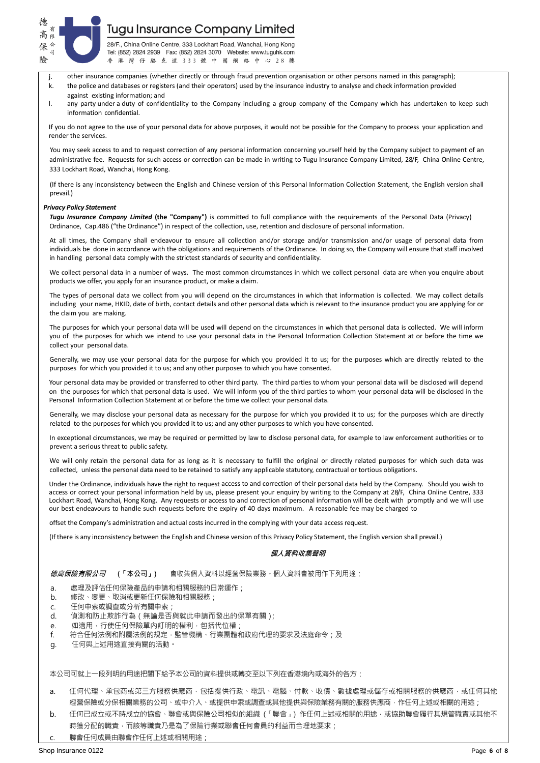

28/F., China Online Centre, 333 Lockhart Road, Wanchai, Hong Kong Tel: (852) 2824 2939 Fax: (852) 2824 3070 Website: www.tuguhk.com 灣仔 駱 克 道 333 號 中 國 網 絡 中 心 28 樓 洪

- j. other insurance companies (whether directly or through fraud prevention organisation or other persons named in this paragraph);
- k. the police and databases or registers (and their operators) used by the insurance industry to analyse and check information provided against existing information; and
- l. any party under a duty of confidentiality to the Company including a group company of the Company which has undertaken to keep such information confidential.

If you do not agree to the use of your personal data for above purposes, it would not be possible for the Company to process your application and render the services.

You may seek access to and to request correction of any personal information concerning yourself held by the Company subject to payment of an administrative fee. Requests for such access or correction can be made in writing to Tugu Insurance Company Limited, 28/F, China Online Centre, 333 Lockhart Road, Wanchai, Hong Kong.

(If there is any inconsistency between the English and Chinese version of this Personal Information Collection Statement, the English version shall prevail.)

#### *Privacy Policy Statement*

*Tugu Insurance Company Limited* **(the "Company")** is committed to full compliance with the requirements of the Personal Data (Privacy) Ordinance, Cap.486 ("the Ordinance") in respect of the collection, use, retention and disclosure of personal information.

At all times, the Company shall endeavour to ensure all collection and/or storage and/or transmission and/or usage of personal data from individuals be done in accordance with the obligations and requirements of the Ordinance. In doing so, the Company will ensure that staff involved in handling personal data comply with the strictest standards of security and confidentiality.

We collect personal data in a number of ways. The most common circumstances in which we collect personal data are when you enquire about products we offer, you apply for an insurance product, or make a claim.

The types of personal data we collect from you will depend on the circumstances in which that information is collected. We may collect details including your name, HKID, date of birth, contact details and other personal data which is relevant to the insurance product you are applying for or the claim you are making.

The purposes for which your personal data will be used will depend on the circumstances in which that personal data is collected. We will inform you of the purposes for which we intend to use your personal data in the Personal Information Collection Statement at or before the time we collect your personal data.

Generally, we may use your personal data for the purpose for which you provided it to us; for the purposes which are directly related to the purposes for which you provided it to us; and any other purposes to which you have consented.

Your personal data may be provided or transferred to other third party. The third parties to whom your personal data will be disclosed will depend on the purposes for which that personal data is used. We will inform you of the third parties to whom your personal data will be disclosed in the Personal Information Collection Statement at or before the time we collect your personal data.

Generally, we may disclose your personal data as necessary for the purpose for which you provided it to us; for the purposes which are directly related to the purposes for which you provided it to us; and any other purposes to which you have consented.

In exceptional circumstances, we may be required or permitted by law to disclose personal data, for example to law enforcement authorities or to prevent a serious threat to public safety.

We will only retain the personal data for as long as it is necessary to fulfill the original or directly related purposes for which such data was collected, unless the personal data need to be retained to satisfy any applicable statutory, contractual or tortious obligations.

Under the Ordinance, individuals have the right to request access to and correction of their personal data held by the Company. Should you wish to access or correct your personal information held by us, please present your enquiry by writing to the Company at 28/F, China Online Centre, 333 Lockhart Road, Wanchai, Hong Kong. Any requests or access to and correction of personal information will be dealt with promptly and we will use our best endeavours to handle such requests before the expiry of 40 days maximum. A reasonable fee may be charged to

offset the Company's administration and actual costs incurred in the complying with your data access request.

(If there is any inconsistency between the English and Chinese version of this Privacy Policy Statement, the English version shall prevail.)

#### **個人資料收集聲明**

**德高保險有限公司 (「本公司」)** 會收集個人資料以經營保險業務。個人資料會被用作下列用途:

- a. 處理及評估任何保險產品的申請和相關服務的日常運作;
- b. 修改、變更、取消或更新任何保險和相關服務;
- c. 任何申索或調查或分析有關申索;
- d. 偵測和防止欺詐行為(無論是否與就此申請而發出的保單有關);
- e. 如適用, 行使任何保險單內訂明的權利, 包括代位權;
- f. 符合任何法例和附屬法例的規定,監管機構、行業團體和政府代理的要求及法庭命令;及
- g. 任何與上述用途直接有關的活動。

本公司可就上一段列明的用途把閣下給予本公司的資料提供或轉交至以下列在香港境內或海外的各方:

- a. 任何代理、承包商或第三方服務供應商·包括提供行政、電訊、電腦、付款、收債、數據處理或儲存或相關服務的供應商·或任何其他 經營保險或分保相關業務的公司、或中介人、或提供申索或調查或其他提供與保險業務有關的服務供應商,作任何上述或相關的用途;
- b. 任何已成立或不時成立的協會、聯會或與保險公司相似的組織 (「聯會」) 作任何上述或相關的用途,或協助聯會履行其規管職責或其他不 時獲分配的職責,而該等職責乃是為了保險行業或聯會任何會員的利益而合理地要求;
- c. 聯會任何成員由聯會作任何上述或相關用途;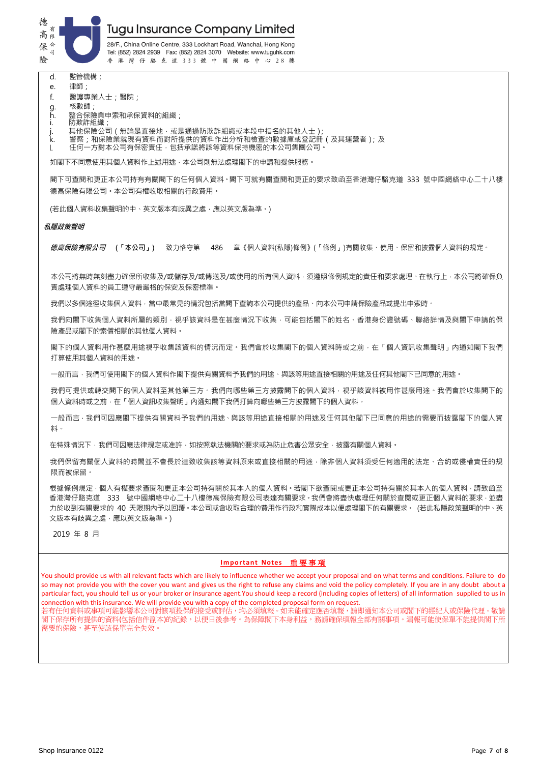

28/F., China Online Centre, 333 Lockhart Road, Wanchai, Hong Kong Tel: (852) 2824 2939 Fax: (852) 2824 3070 Website: www.tuguhk.com 香港灣仔駱克道333號中國網絡中心28樓

- d. 監管機構;
- e. 律師;
- f. 醫護專業人士;醫院;
- g. 核數師;
- h. 整合保險業申索和承保資料的組織;
- i. 防欺詐組織
- j. 其他保險公司(無論是直接地,或是通過防欺詐組織或本段中指名的其他人士);
- k. 警察;和保險業就現有資料而對所提供的資料作出分析和檢查的數據庫或登記冊(及其運營者);及
- l. 任何一方對本公司有保密責任,包括承諾將該等資料保持機密的本公司集團公司。

如閣下不同意使用其個人資料作上述用途,本公司則無法處理閣下的申請和提供服務。

閣下可查閱和更正本公司持有有關閣下的任何個人資料。閣下可就有關查閱和更正的要求致函至香港灣仔駱克道 333 號中國網絡中心二十八樓 德高保險有限公司。本公司有權收取相關的行政費用。

(若此個人資料收集聲明的中、英文版本有歧異之處,應以英文版為準。)

#### **私隱政策聲明**

**德高保險有限公司 (「本公司」)** 致力恪守第 486 章《個人資料(私隱)條例》(「條例」)有關收集、使用、保留和披露個人資料的規定。

本公司將無時無刻盡力確保所收集及/或儲存及/或傳送及/或使用的所有個人資料,須遵照條例規定的責任和要求處理。在執行上,本公司將確保負 責處理個人資料的員工遵守最嚴格的保安及保密標準。

我們以多個途徑收集個人資料,當中最常見的情況包括當閣下查詢本公司提供的產品、向本公司申請保險產品或提出申索時。

我們向閣下收集個人資料所屬的類別,視平該資料是在甚麼情況下收集,可能包括閣下的姓名、香港身份證號碼、聯絡詳情及與閣下申請的保 險產品或閣下的索償相關的其他個人資料。

閣下的個人資料用作甚麼用途視平收集該資料的情況而定。我們會於收集閣下的個人資料時或之前,在「個人資訊收集聲明」內通知閣下我們 打算使用其個人資料的用途。

一般而言,我們可使用閣下的個人資料作閣下提供有關資料予我們的用途、與該等用途有接相關的用途及任何其他閣下已同意的用途。

我們可提供或轉交閣下的個人資料至其他第三方。我們向哪些第三方披露閣下的個人資料,視乎該資料被用作甚麼用途。我們會於收集閣下的 個人資料時或之前,在「個人資訊收集聲明」內通知閣下我們打算向哪些第三方披露閣下的個人資料。

一般而言,我們可因應閣下提供有關資料予我們的用途、與該等用途直接相關的用途及任何其他閣下已同意的用途的需要而披露閣下的個人資 料。

在特殊情況下,我們可因應法律規定或准許,如按照執法機關的要求或為防止危害公眾安全,披露有關個人資料。

我們保留有關個人資料的時間並不會長於達致收集該等資料原來或直接相關的用途,除非個人資料須受任何適用的法定、合約或侵權責任的規 限而被保留。

根據條例規定,個人有權要求查閱和更正本公司持有關於其本人的個人資料。若閣下欲查閱或更正本公司持有關於其本人的個人資料,請致函至 香港灣仔駱克道 333 號中國網絡中心二十八樓德高保險有限公司表達有關要求。我們會將盡快處理任何關於查閱或更正個人資料的要求,並盡 力於收到有關要求的 40 天限期內予以回覆。本公司或會收取合理的費用作行政和實際成本以便處理閣下的有關要求。 (若此私隱政策聲明的中、英 文版本有歧異之處,應以英文版為準。)

#### 2019 年 8 月

#### **Important Notes** 重 要 事 項

You should provide us with all relevant facts which are likely to influence whether we accept your proposal and on what terms and conditions. Failure to do so may not provide you with the cover you want and gives us the right to refuse any claims and void the policy completely. If you are in any doubt about a particular fact, you should tell us or your broker or insurance agent.You should keep a record (including copies of letters) of all information supplied to us in connection with this insurance. We will provide you with a copy of the completed proposal form on request.

若有任何資料或事項可能影響本公司對該項投保的接受或評估,均必須填報。如未能確定應否填報,請即通知本公司或閣下的經紀人或保險代理。敬請 閣下保存所有提供的資料(包括信件副本)的紀錄,以便日後參考。為保障閣下本身利益,務請確保填報全部有關事項。漏報可能使保單不能提供閣下所 需要的保險,甚至使該保單完全失效。